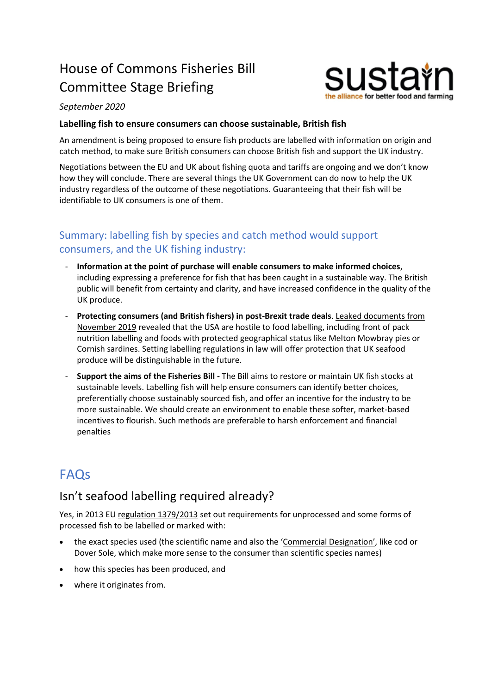# House of Commons Fisheries Bill Committee Stage Briefing



#### *September 2020*

#### **Labelling fish to ensure consumers can choose sustainable, British fish**

An amendment is being proposed to ensure fish products are labelled with information on origin and catch method, to make sure British consumers can choose British fish and support the UK industry.

Negotiations between the EU and UK about fishing quota and tariffs are ongoing and we don't know how they will conclude. There are several things the UK Government can do now to help the UK industry regardless of the outcome of these negotiations. Guaranteeing that their fish will be identifiable to UK consumers is one of them.

#### Summary: labelling fish by species and catch method would support consumers, and the UK fishing industry:

- **Information at the point of purchase will enable consumers to make informed choices**, including expressing a preference for fish that has been caught in a sustainable way. The British public will benefit from certainty and clarity, and have increased confidence in the quality of the UK produce.
- **Protecting consumers (and British fishers) in post-Brexit trade deals**. [Leaked documents from](https://www.bbc.com/news/uk-politics-50572502)  [November 2019](https://www.bbc.com/news/uk-politics-50572502) revealed that the USA are hostile to food labelling, including front of pack nutrition labelling and foods with protected geographical status like Melton Mowbray pies or Cornish sardines. Setting labelling regulations in law will offer protection that UK seafood produce will be distinguishable in the future.
- **Support the aims of the Fisheries Bill -** The Bill aims to restore or maintain UK fish stocks at sustainable levels. Labelling fish will help ensure consumers can identify better choices, preferentially choose sustainably sourced fish, and offer an incentive for the industry to be more sustainable. We should create an environment to enable these softer, market-based incentives to flourish. Such methods are preferable to harsh enforcement and financial penalties

## **FAOs**

#### Isn't seafood labelling required already?

Yes, in 2013 EU [regulation 1379/2013](http://eur-lex.europa.eu/legal-content/EN/TXT/?qid=1503927333575&uri=CELEX:02013R1379-20150601) set out requirements for unprocessed and some forms of processed fish to be labelled or marked with:

- the exact species used (the scientific name and also the '[Commercial Designation](https://www.gov.uk/government/publications/commercial-designations-of-fish-united-kingdom/commercial-designations-of-fish)', like cod or Dover Sole, which make more sense to the consumer than scientific species names)
- how this species has been produced, and
- where it originates from.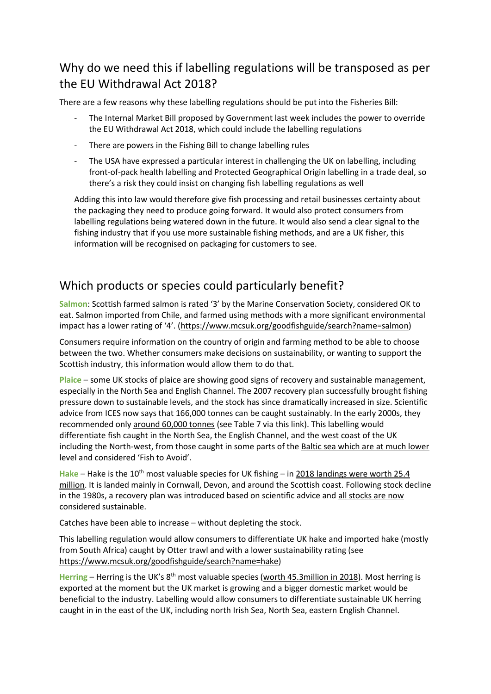#### Why do we need this if labelling regulations will be transposed as per the [EU Withdrawal Act 2018?](https://www.instituteforgovernment.org.uk/explainers/eu-withdrawal-act)

There are a few reasons why these labelling regulations should be put into the Fisheries Bill:

- The Internal Market Bill proposed by Government last week includes the power to override the EU Withdrawal Act 2018, which could include the labelling regulations
- There are powers in the Fishing Bill to change labelling rules
- The USA have expressed a particular interest in challenging the UK on labelling, including front-of-pack health labelling and Protected Geographical Origin labelling in a trade deal, so there's a risk they could insist on changing fish labelling regulations as well

Adding this into law would therefore give fish processing and retail businesses certainty about the packaging they need to produce going forward. It would also protect consumers from labelling regulations being watered down in the future. It would also send a clear signal to the fishing industry that if you use more sustainable fishing methods, and are a UK fisher, this information will be recognised on packaging for customers to see.

#### Which products or species could particularly benefit?

**Salmon**: Scottish farmed salmon is rated '3' by the Marine Conservation Society, considered OK to eat. Salmon imported from Chile, and farmed using methods with a more significant environmental impact has a lower rating of '4'. ([https://www.mcsuk.org/goodfishguide/search?name=salmon\)](https://www.mcsuk.org/goodfishguide/search?name=salmon)

Consumers require information on the country of origin and farming method to be able to choose between the two. Whether consumers make decisions on sustainability, or wanting to support the Scottish industry, this information would allow them to do that.

**Plaice** – some UK stocks of plaice are showing good signs of recovery and sustainable management, especially in the North Sea and English Channel. The 2007 recovery plan successfully brought fishing pressure down to sustainable levels, and the stock has since dramatically increased in size. Scientific advice from ICES now says that 166,000 tonnes can be caught sustainably. In the early 2000s, they recommended onl[y around 60,000 tonnes](http://www.ices.dk/sites/pub/Publication%20Reports/Advice/2019/2019/ple.27.420.pdf) (see Table 7 via this link). This labelling would differentiate fish caught in the North Sea, the English Channel, and the west coast of the UK including the North-west, from those caught in some parts of the [Baltic sea which are at much lower](https://www.mcsuk.org/goodfishguide/search?name=plaice)  [level and considered 'Fish to Avoid'](https://www.mcsuk.org/goodfishguide/search?name=plaice).

Hake – Hake is the 10<sup>th</sup> most valuable species for UK fishing – in 2018 landings were worth 25.4 [million.](https://assets.publishing.service.gov.uk/government/uploads/system/uploads/attachment_data/file/863732/UK_sea_fisheries_statistics_2018.pdf) It is landed mainly in Cornwall, Devon, and around the Scottish coast. Following stock decline in the 1980s, a recovery plan was introduced based on scientific advice and [all stocks](https://www.mcsuk.org/goodfishguide/search?name=hake) are now [considered sustainable.](https://www.mcsuk.org/goodfishguide/search?name=hake)

Catches have been able to increase – without depleting the stock.

This labelling regulation would allow consumers to differentiate UK hake and imported hake (mostly from South Africa) caught by Otter trawl and with a lower sustainability rating (see [https://www.mcsuk.org/goodfishguide/search?name=hake\)](https://www.mcsuk.org/goodfishguide/search?name=hake)

Herring – Herring is the UK's 8<sup>th</sup> most valuable species [\(worth 45.3million in 2018\)](https://assets.publishing.service.gov.uk/government/uploads/system/uploads/attachment_data/file/863732/UK_sea_fisheries_statistics_2018.pdf). Most herring is exported at the moment but the UK market is growing and a bigger domestic market would be beneficial to the industry. Labelling would allow consumers to differentiate sustainable UK herring caught in in the east of the UK, including north Irish Sea, North Sea, eastern English Channel.